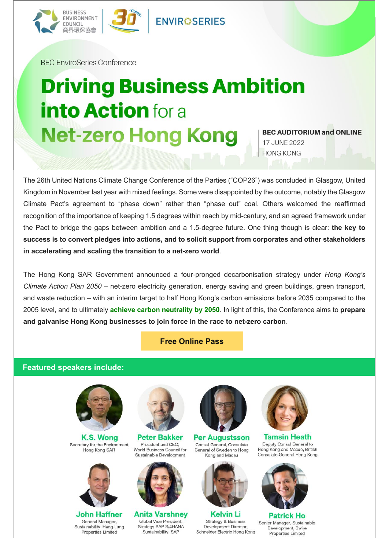

**BFC EnviroSeries Conference** 

## **Driving Business Ambition into Action** for a **Net-zero Hong Kong 17 JUNE 2022**

**BEC AUDITORIUM and ONLINE** 

**HONG KONG** 

The 26th United Nations Climate Change Conference of the Parties ("COP26") was concluded in Glasgow, United Kingdom in November last year with mixed feelings. Some were disappointed by the outcome, notably the Glasgow Climate Pact's agreement to "phase down" rather than "phase out" coal. Others welcomed the reaffirmed recognition of the importance of keeping 1.5 degrees within reach by mid-century, and an agreed framework under the Pact to bridge the gaps between ambition and a 1.5-degree future. One thing though is clear: **the key to success is to convert pledges into actions, and to solicit support from corporates and other stakeholders in accelerating and scaling the transition to a net-zero world**.

The Hong Kong SAR Government announced a four-pronged decarbonisation strategy under *Hong Kong's Climate Action Plan 2050* – net-zero electricity generation, energy saving and green buildings, green transport, and waste reduction – with an interim target to half Hong Kong's carbon emissions before 2035 compared to the 2005 level, and to ultimately **achieve carbon neutrality by 2050**. In light of this, the Conference aims to **prepare and galvanise Hong Kong businesses to join force in the race to net-zero carbon**.

## **[Free Online Pass](https://forms.gle/yKBcfzHWxqLBre3t6)**

## **Featured speakers include:**



K.S. Wong Secretary for the Environment, Hong Kong SAR



John Haffner General Manager. Sustainability, Hang Lung Properties Limited



**Peter Bakker** President and CEO, World Business Council for Sustainable Development



**Anita Varshney** Global Vice President, Strategy SAP S/4HANA Sustainability, SAP



**Per Augustsson** Consul General, Consulate General of Sweden to Hong Kong and Macau



**Kelvin Li Strategy & Business** Development Director, Schneider Electric Hong Kong



**Tamsin Heath** Deputy Consul General to Hong Kong and Macao, British Consulate-General Hong Kong



**Patrick Ho** Senior Manager, Sustainable Development, Swire Properties Limited